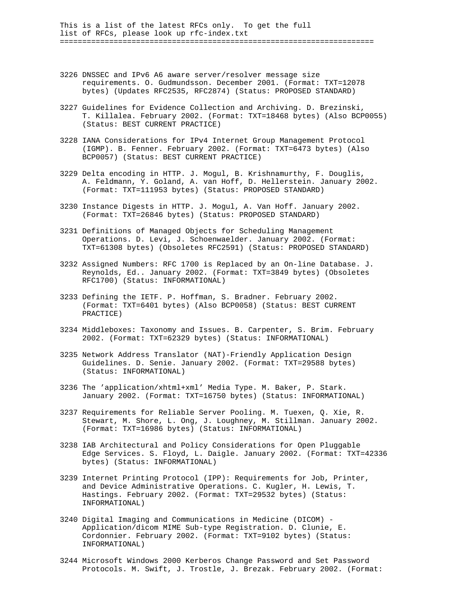This is a list of the latest RFCs only. To get the full list of RFCs, please look up rfc-index.txt ======================================================================

- 3226 DNSSEC and IPv6 A6 aware server/resolver message size requirements. O. Gudmundsson. December 2001. (Format: TXT=12078 bytes) (Updates RFC2535, RFC2874) (Status: PROPOSED STANDARD)
- 3227 Guidelines for Evidence Collection and Archiving. D. Brezinski, T. Killalea. February 2002. (Format: TXT=18468 bytes) (Also BCP0055) (Status: BEST CURRENT PRACTICE)
- 3228 IANA Considerations for IPv4 Internet Group Management Protocol (IGMP). B. Fenner. February 2002. (Format: TXT=6473 bytes) (Also BCP0057) (Status: BEST CURRENT PRACTICE)
- 3229 Delta encoding in HTTP. J. Mogul, B. Krishnamurthy, F. Douglis, A. Feldmann, Y. Goland, A. van Hoff, D. Hellerstein. January 2002. (Format: TXT=111953 bytes) (Status: PROPOSED STANDARD)
- 3230 Instance Digests in HTTP. J. Mogul, A. Van Hoff. January 2002. (Format: TXT=26846 bytes) (Status: PROPOSED STANDARD)
- 3231 Definitions of Managed Objects for Scheduling Management Operations. D. Levi, J. Schoenwaelder. January 2002. (Format: TXT=61308 bytes) (Obsoletes RFC2591) (Status: PROPOSED STANDARD)
- 3232 Assigned Numbers: RFC 1700 is Replaced by an On-line Database. J. Reynolds, Ed.. January 2002. (Format: TXT=3849 bytes) (Obsoletes RFC1700) (Status: INFORMATIONAL)
- 3233 Defining the IETF. P. Hoffman, S. Bradner. February 2002. (Format: TXT=6401 bytes) (Also BCP0058) (Status: BEST CURRENT PRACTICE)
- 3234 Middleboxes: Taxonomy and Issues. B. Carpenter, S. Brim. February 2002. (Format: TXT=62329 bytes) (Status: INFORMATIONAL)
- 3235 Network Address Translator (NAT)-Friendly Application Design Guidelines. D. Senie. January 2002. (Format: TXT=29588 bytes) (Status: INFORMATIONAL)
- 3236 The 'application/xhtml+xml' Media Type. M. Baker, P. Stark. January 2002. (Format: TXT=16750 bytes) (Status: INFORMATIONAL)
- 3237 Requirements for Reliable Server Pooling. M. Tuexen, Q. Xie, R. Stewart, M. Shore, L. Ong, J. Loughney, M. Stillman. January 2002. (Format: TXT=16986 bytes) (Status: INFORMATIONAL)
- 3238 IAB Architectural and Policy Considerations for Open Pluggable Edge Services. S. Floyd, L. Daigle. January 2002. (Format: TXT=42336 bytes) (Status: INFORMATIONAL)
- 3239 Internet Printing Protocol (IPP): Requirements for Job, Printer, and Device Administrative Operations. C. Kugler, H. Lewis, T. Hastings. February 2002. (Format: TXT=29532 bytes) (Status: INFORMATIONAL)
- 3240 Digital Imaging and Communications in Medicine (DICOM) Application/dicom MIME Sub-type Registration. D. Clunie, E. Cordonnier. February 2002. (Format: TXT=9102 bytes) (Status: INFORMATIONAL)
- 3244 Microsoft Windows 2000 Kerberos Change Password and Set Password Protocols. M. Swift, J. Trostle, J. Brezak. February 2002. (Format: